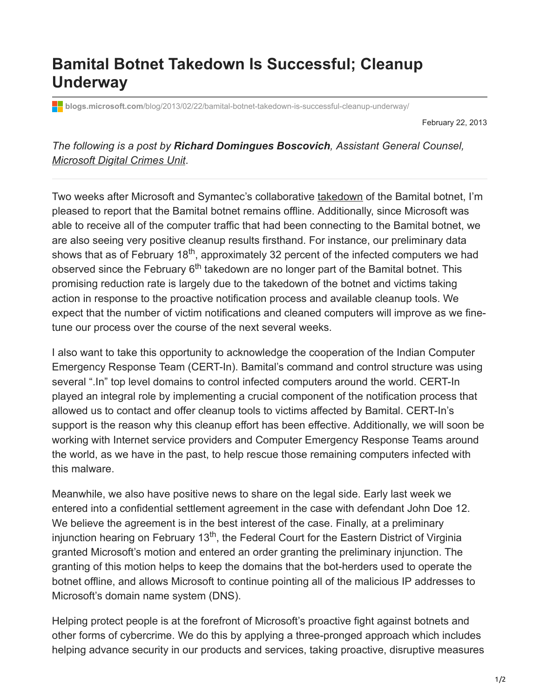## **Bamital Botnet Takedown Is Successful; Cleanup Underway**

**blogs.microsoft.com**[/blog/2013/02/22/bamital-botnet-takedown-is-successful-cleanup-underway/](https://blogs.microsoft.com/blog/2013/02/22/bamital-botnet-takedown-is-successful-cleanup-underway/)

February 22, 2013

*The following is a post by Richard Domingues Boscovich, Assistant General Counsel, [Microsoft Digital Crimes Unit](http://www.microsoft.com/en-us/news/presskits/dcu/)*.

Two weeks after Microsoft and Symantec's collaborative [takedown](http://blogs.technet.com/b/microsoft_blog/archive/2013/02/06/microsoft-and-symantec-take-down-bamital-botnet-that-hijacks-online-searches.aspx) of the Bamital botnet, I'm pleased to report that the Bamital botnet remains offline. Additionally, since Microsoft was able to receive all of the computer traffic that had been connecting to the Bamital botnet, we are also seeing very positive cleanup results firsthand. For instance, our preliminary data shows that as of February 18<sup>th</sup>, approximately 32 percent of the infected computers we had observed since the February 6<sup>th</sup> takedown are no longer part of the Bamital botnet. This promising reduction rate is largely due to the takedown of the botnet and victims taking action in response to the proactive notification process and available cleanup tools. We expect that the number of victim notifications and cleaned computers will improve as we finetune our process over the course of the next several weeks.

I also want to take this opportunity to acknowledge the cooperation of the Indian Computer Emergency Response Team (CERT-In). Bamital's command and control structure was using several ".In" top level domains to control infected computers around the world. CERT-In played an integral role by implementing a crucial component of the notification process that allowed us to contact and offer cleanup tools to victims affected by Bamital. CERT-In's support is the reason why this cleanup effort has been effective. Additionally, we will soon be working with Internet service providers and Computer Emergency Response Teams around the world, as we have in the past, to help rescue those remaining computers infected with this malware.

Meanwhile, we also have positive news to share on the legal side. Early last week we entered into a confidential settlement agreement in the case with defendant John Doe 12. We believe the agreement is in the best interest of the case. Finally, at a preliminary injunction hearing on February 13<sup>th</sup>, the Federal Court for the Eastern District of Virginia granted Microsoft's motion and entered an order granting the preliminary injunction. The granting of this motion helps to keep the domains that the bot-herders used to operate the botnet offline, and allows Microsoft to continue pointing all of the malicious IP addresses to Microsoft's domain name system (DNS).

Helping protect people is at the forefront of Microsoft's proactive fight against botnets and other forms of cybercrime. We do this by applying a three-pronged approach which includes helping advance security in our products and services, taking proactive, disruptive measures